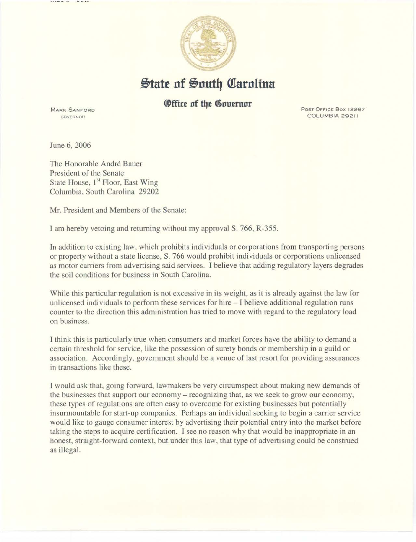

## $\frac{1}{2}$ tate of South Carolina

## *<u>Office of the Governor</u>*

MARK SANFORD GOVERNOR

Post Office Box 12267 COLUMBIA 29211

June 6, 2006

The Honorable André Bauer President of the Senate State House, 1<sup>st</sup> Floor, East Wing Columbia, South Carolina 29202

Mr. President and Members of the Senate:

I am hereby vetoing and returning without my approval S. 766, R-355.

In addition to existing law, which prohibits individuals or corporations from transporting persons or propetty without a state license, S. 766 would prohibit individuals or corporations unlicensed as motor carriers from advertising said services. I believe that adding regulatory layers degrades the soil conditions for business in South Carolina.

While this particular regulation is not excessive in its weight, as it is already against the law for unlicensed individuals to perform these services for hire- I believe additional regulation runs counter to the direction this administration has tried to move with regard to the regulatory load on business.

I think this is particularly true when consumers and market forces have the ability to demand a certain threshold for service, like the possession of surety bonds or membership in a guild or association. Accordingly, government should be a venue of last resort for providing assurances in transactions like these.

I would ask that, going forward, lawmakers be very circumspect about making new demands of the businesses that support our economy- recognizing that, as we seek to grow our economy, these types of regulations are often easy to overcome for existing businesses but potentially insurmountable for start-up companies. Perhaps an individual seeking to begin a carrier service would like to gauge consumer interest by advertising their potential entry into the market before taking the steps to acquire certification. I see no reason why that would be inappropriate in an honest, straight-forward context, but under this law, that type of advertising could be construed as illegal.